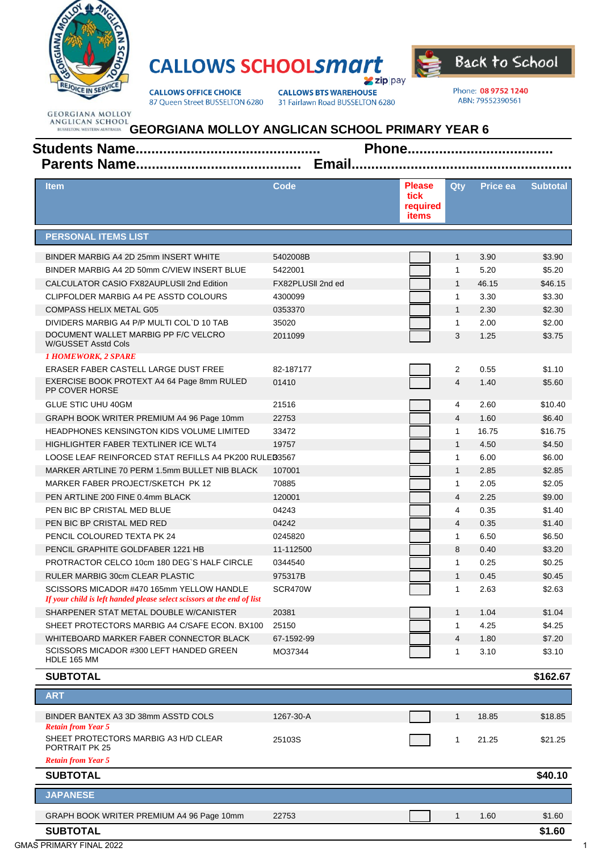

## **CALLOWS SCHOOLSMATT**  $2$ zip pay



**CALLOWS OFFICE CHOICE** 87 Queen Street BUSSELTON 6280 **CALLOWS BTS WAREHOUSE** 31 Fairlawn Road BUSSELTON 6280 Phone: 08 9752 1240 ABN: 79552390561

**GEORGIANA MOLLOY** 

## ANGLICAN SCHOOL<br>ANGLICAN SCHOOL GEORGIANA MOLLOY ANGLICAN SCHOOL PRIMARY YEAR 6 **Email...........**

| <b>Item</b>                                                                                                         | Code              | Please<br>tick<br>required<br>items | Qtv            | <b>Price ea</b> | <b>Subtotal</b> |
|---------------------------------------------------------------------------------------------------------------------|-------------------|-------------------------------------|----------------|-----------------|-----------------|
| <b>PERSONAL ITEMS LIST</b>                                                                                          |                   |                                     |                |                 |                 |
| BINDER MARBIG A4 2D 25mm INSERT WHITE                                                                               | 5402008B          |                                     | $\mathbf{1}$   | 3.90            | \$3.90          |
| BINDER MARBIG A4 2D 50mm C/VIEW INSERT BLUE                                                                         | 5422001           |                                     | $\mathbf{1}$   | 5.20            | \$5.20          |
| CALCULATOR CASIO FX82AUPLUSII 2nd Edition                                                                           | FX82PLUSII 2nd ed |                                     | $\mathbf{1}$   | 46.15           | \$46.15         |
| CLIPFOLDER MARBIG A4 PE ASSTD COLOURS                                                                               | 4300099           |                                     | $\mathbf{1}$   | 3.30            | \$3.30          |
| <b>COMPASS HELIX METAL G05</b>                                                                                      | 0353370           |                                     | $\mathbf{1}$   | 2.30            | \$2.30          |
| DIVIDERS MARBIG A4 P/P MULTI COL`D 10 TAB                                                                           | 35020             |                                     | 1              | 2.00            | \$2.00          |
| DOCUMENT WALLET MARBIG PP F/C VELCRO<br><b>W/GUSSET Asstd Cols</b>                                                  | 2011099           |                                     | 3              | 1.25            | \$3.75          |
| <b>1 HOMEWORK, 2 SPARE</b>                                                                                          |                   |                                     |                |                 |                 |
| ERASER FABER CASTELL LARGE DUST FREE                                                                                | 82-187177         |                                     | 2              | 0.55            | \$1.10          |
| EXERCISE BOOK PROTEXT A4 64 Page 8mm RULED<br>PP COVER HORSE                                                        | 01410             |                                     | $\overline{4}$ | 1.40            | \$5.60          |
| <b>GLUE STIC UHU 40GM</b>                                                                                           | 21516             |                                     | 4              | 2.60            | \$10.40         |
| GRAPH BOOK WRITER PREMIUM A4 96 Page 10mm                                                                           | 22753             |                                     | 4              | 1.60            | \$6.40          |
| <b>HEADPHONES KENSINGTON KIDS VOLUME LIMITED</b>                                                                    | 33472             |                                     | $\mathbf{1}$   | 16.75           | \$16.75         |
| HIGHLIGHTER FABER TEXTLINER ICE WLT4                                                                                | 19757             |                                     | $\mathbf{1}$   | 4.50            | \$4.50          |
| LOOSE LEAF REINFORCED STAT REFILLS A4 PK200 RULED3567                                                               |                   |                                     | 1              | 6.00            | \$6.00          |
| MARKER ARTLINE 70 PERM 1.5mm BULLET NIB BLACK                                                                       | 107001            |                                     | $\mathbf{1}$   | 2.85            | \$2.85          |
| MARKER FABER PROJECT/SKETCH PK 12                                                                                   | 70885             |                                     | $\mathbf{1}$   | 2.05            | \$2.05          |
| PEN ARTLINE 200 FINE 0.4mm BLACK                                                                                    | 120001            |                                     | 4              | 2.25            | \$9.00          |
| PEN BIC BP CRISTAL MED BLUE                                                                                         | 04243             |                                     | 4              | 0.35            | \$1.40          |
| PEN BIC BP CRISTAL MED RED                                                                                          | 04242             |                                     | $\overline{4}$ | 0.35            | \$1.40          |
| PENCIL COLOURED TEXTA PK 24                                                                                         | 0245820           |                                     | $\mathbf{1}$   | 6.50            | \$6.50          |
| PENCIL GRAPHITE GOLDFABER 1221 HB                                                                                   | 11-112500         |                                     | 8              | 0.40            | \$3.20          |
| PROTRACTOR CELCO 10cm 180 DEG'S HALF CIRCLE                                                                         | 0344540           |                                     | $\mathbf{1}$   | 0.25            | \$0.25          |
| RULER MARBIG 30cm CLEAR PLASTIC                                                                                     | 975317B           |                                     | $\mathbf{1}$   | 0.45            | \$0.45          |
| SCISSORS MICADOR #470 165mm YELLOW HANDLE<br>If your child is left handed please select scissors at the end of list | SCR470W           |                                     | $\mathbf{1}$   | 2.63            | \$2.63          |
| SHARPENER STAT METAL DOUBLE W/CANISTER                                                                              | 20381             |                                     | $\mathbf{1}$   | 1.04            | \$1.04          |
| SHEET PROTECTORS MARBIG A4 C/SAFE ECON, BX100                                                                       | 25150             |                                     | $\mathbf{1}$   | 4.25            | \$4.25          |
| WHITEBOARD MARKER FABER CONNECTOR BLACK                                                                             | 67-1592-99        |                                     | 4              | 1.80            | \$7.20          |
| SCISSORS MICADOR #300 LEFT HANDED GREEN<br>HDLE 165 MM                                                              | MO37344           |                                     | $\mathbf{1}$   | 3.10            | \$3.10          |
| <b>SUBTOTAL</b>                                                                                                     |                   |                                     |                |                 | \$162.67        |
| <b>ART</b>                                                                                                          |                   |                                     |                |                 |                 |

| ANI                                                               |           |  |       |         |
|-------------------------------------------------------------------|-----------|--|-------|---------|
| BINDER BANTEX A3 3D 38mm ASSTD COLS                               | 1267-30-A |  | 18.85 | \$18.85 |
| <b>Retain from Year 5</b><br>SHEET PROTECTORS MARBIG A3 H/D CLEAR | 25103S    |  | 21.25 | \$21.25 |
| PORTRAIT PK 25<br><b>Retain from Year 5</b>                       |           |  |       |         |
| <b>SUBTOTAL</b>                                                   |           |  |       | \$40.10 |
| <b>JAPANESE</b>                                                   |           |  |       |         |
| GRAPH BOOK WRITER PREMIUM A4 96 Page 10mm                         | 22753     |  | 1.60  | \$1.60  |
| <b>SUBTOTAL</b>                                                   |           |  |       | \$1.60  |

**GMAS PRIMARY FINAL 2022**